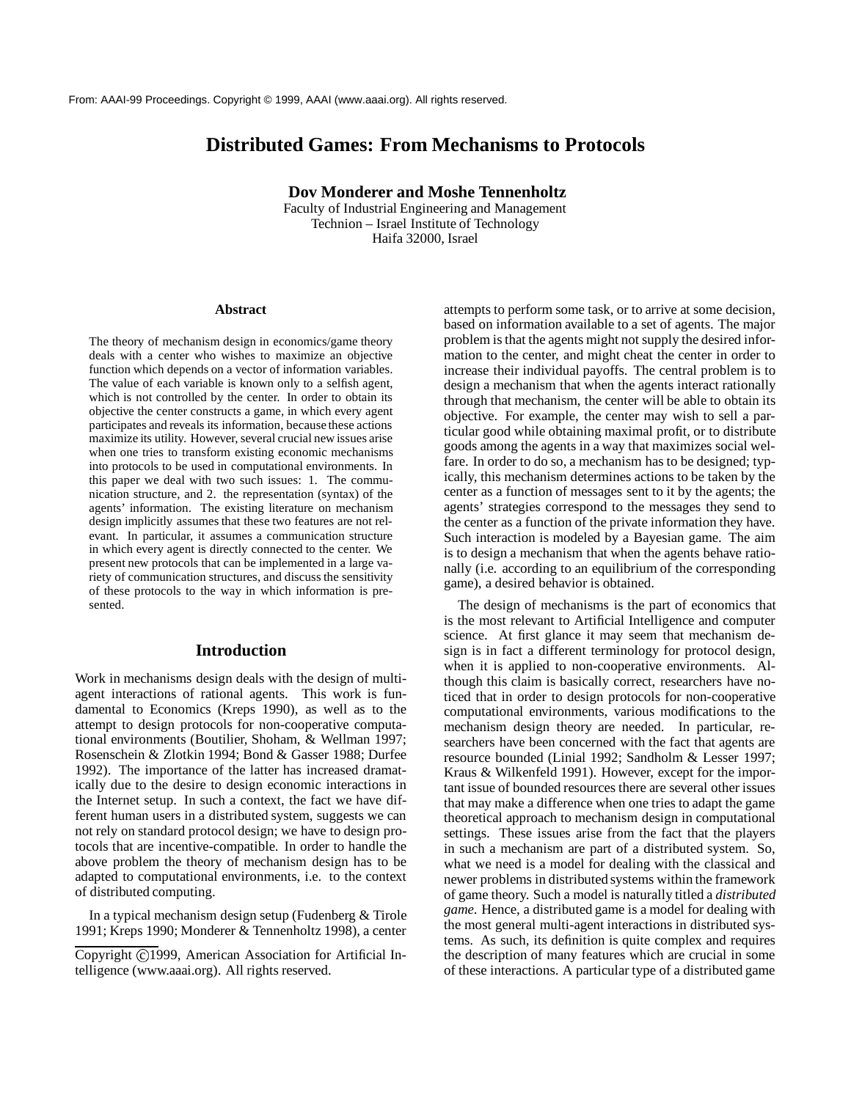# **Distributed Games: From Mechanisms to Protocols**

**Dov Monderer and Moshe Tennenholtz**

Faculty of Industrial Engineering and Management Technion – Israel Institute of Technology Haifa 32000, Israel

#### **Abstract**

The theory of mechanism design in economics/game theory deals with a center who wishes to maximize an objective function which depends on a vector of information variables. The value of each variable is known only to a selfish agent, which is not controlled by the center. In order to obtain its objective the center constructs a game, in which every agent participates and reveals its information, because these actions maximize its utility. However, several crucial new issues arise when one tries to transform existing economic mechanisms into protocols to be used in computational environments. In this paper we deal with two such issues: 1. The communication structure, and 2. the representation (syntax) of the agents' information. The existing literature on mechanism design implicitly assumes that these two features are not relevant. In particular, it assumes a communication structure in which every agent is directly connected to the center. We present new protocols that can be implemented in a large variety of communication structures, and discuss the sensitivity of these protocols to the way in which information is presented.

## **Introduction**

Work in mechanisms design deals with the design of multiagent interactions of rational agents. This work is fundamental to Economics (Kreps 1990), as well as to the attempt to design protocols for non-cooperative computational environments (Boutilier, Shoham, & Wellman 1997; Rosenschein & Zlotkin 1994; Bond & Gasser 1988; Durfee 1992). The importance of the latter has increased dramatically due to the desire to design economic interactions in the Internet setup. In such a context, the fact we have different human users in a distributed system, suggests we can not rely on standard protocol design; we have to design protocols that are incentive-compatible. In order to handle the above problem the theory of mechanism design has to be adapted to computational environments, i.e. to the context of distributed computing.

In a typical mechanism design setup (Fudenberg & Tirole 1991; Kreps 1990; Monderer & Tennenholtz 1998), a center attempts to perform some task, or to arrive at some decision, based on information available to a set of agents. The major problem is that the agents might not supply the desired information to the center, and might cheat the center in order to increase their individual payoffs. The central problem is to design a mechanism that when the agents interact rationally through that mechanism, the center will be able to obtain its objective. For example, the center may wish to sell a particular good while obtaining maximal profit, or to distribute goods among the agents in a way that maximizes social welfare. In order to do so, a mechanism has to be designed; typically, this mechanism determines actions to be taken by the center as a function of messages sent to it by the agents; the agents' strategies correspond to the messages they send to the center as a function of the private information they have. Such interaction is modeled by a Bayesian game. The aim is to design a mechanism that when the agents behave rationally (i.e. according to an equilibrium of the corresponding game), a desired behavior is obtained.

The design of mechanisms is the part of economics that is the most relevant to Artificial Intelligence and computer science. At first glance it may seem that mechanism design is in fact a different terminology for protocol design, when it is applied to non-cooperative environments. Although this claim is basically correct, researchers have noticed that in order to design protocols for non-cooperative computational environments, various modifications to the mechanism design theory are needed. In particular, researchers have been concerned with the fact that agents are resource bounded (Linial 1992; Sandholm & Lesser 1997; Kraus & Wilkenfeld 1991). However, except for the important issue of bounded resources there are several other issues that may make a difference when one tries to adapt the game theoretical approach to mechanism design in computational settings. These issues arise from the fact that the players in such a mechanism are part of a distributed system. So, what we need is a model for dealing with the classical and newer problems in distributed systems within the framework of game theory. Such a model is naturally titled a *distributed game*. Hence, a distributed game is a model for dealing with the most general multi-agent interactions in distributed systems. As such, its definition is quite complex and requires the description of many features which are crucial in some of these interactions. A particular type of a distributed game

Copyright © 1999, American Association for Artificial Intelligence (www.aaai.org). All rights reserved.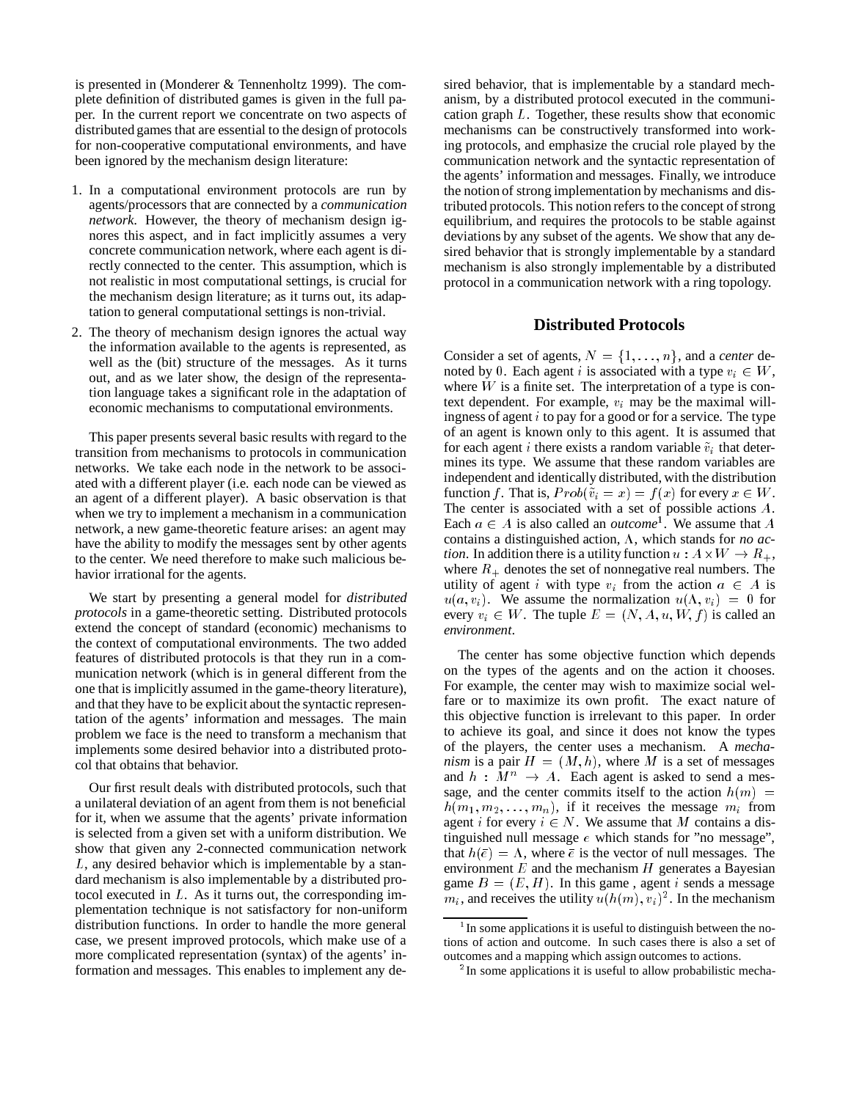is presented in (Monderer & Tennenholtz 1999). The complete definition of distributed games is given in the full paper. In the current report we concentrate on two aspects of distributed games that are essential to the design of protocols for non-cooperative computational environments, and have been ignored by the mechanism design literature:

- 1. In a computational environment protocols are run by agents/processors that are connected by a *communication network*. However, the theory of mechanism design ignores this aspect, and in fact implicitly assumes a very concrete communication network, where each agent is directly connected to the center. This assumption, which is not realistic in most computational settings, is crucial for the mechanism design literature; as it turns out, its adaptation to general computational settings is non-trivial.
- 2. The theory of mechanism design ignores the actual way the information available to the agents is represented, as well as the (bit) structure of the messages. As it turns out, and as we later show, the design of the representation language takes a significant role in the adaptation of economic mechanisms to computational environments.

This paper presents several basic results with regard to the transition from mechanisms to protocols in communication networks. We take each node in the network to be associated with a different player (i.e. each node can be viewed as an agent of a different player). A basic observation is that when we try to implement a mechanism in a communication network, a new game-theoretic feature arises: an agent may have the ability to modify the messages sent by other agents to the center. We need therefore to make such malicious behavior irrational for the agents.

We start by presenting a general model for *distributed protocols* in a game-theoretic setting. Distributed protocols extend the concept of standard (economic) mechanisms to the context of computational environments. The two added features of distributed protocols is that they run in a communication network (which is in general different from the one that is implicitly assumed in the game-theory literature), and that they have to be explicit about the syntactic representation of the agents' information and messages. The main problem we face is the need to transform a mechanism that implements some desired behavior into a distributed protocol that obtains that behavior.

Our first result deals with distributed protocols, such that a unilateral deviation of an agent from them is not beneficial for it, when we assume that the agents' private information is selected from a given set with a uniform distribution. We show that given any 2-connected communication network L, any desired behavior which is implementable by a standard mechanism is also implementable by a distributed protocol executed in  $L$ . As it turns out, the corresponding implementation technique is not satisfactory for non-uniform distribution functions. In order to handle the more general case, we present improved protocols, which make use of a more complicated representation (syntax) of the agents' information and messages. This enables to implement any desired behavior, that is implementable by a standard mechanism, by a distributed protocol executed in the communication graph L. Together, these results show that economic mechanisms can be constructively transformed into working protocols, and emphasize the crucial role played by the communication network and the syntactic representation of the agents' information and messages. Finally, we introduce the notion of strong implementation by mechanisms and distributed protocols. This notion refers to the concept of strong equilibrium, and requires the protocols to be stable against deviations by any subset of the agents. We show that any desired behavior that is strongly implementable by a standard mechanism is also strongly implementable by a distributed protocol in a communication network with a ring topology.

#### **Distributed Protocols**

Consider a set of agents,  $N = \{1, \ldots, n\}$ , and a *center* denoted by 0. Each agent *i* is associated with a type  $v_i \in W$ , where  $W$  is a finite set. The interpretation of a type is context dependent. For example,  $v_i$  may be the maximal willingness of agent  $i$  to pay for a good or for a service. The type of an agent is known only to this agent. It is assumed that for each agent i there exists a random variable  $\tilde{v}_i$  that determines its type. We assume that these random variables are independent and identically distributed, with the distribution function f. That is,  $Prob(\tilde{v}_i = x) = f(x)$  for every  $x \in W$ . The center is associated with a set of possible actions A. Each  $a \in A$  is also called an *outcome*<sup>1</sup>. We assume that A contains a distinguished action,  $\Lambda$ , which stands for *no action*. In addition there is a utility function  $u : A \times W \to R_+$ , where  $R_+$  denotes the set of nonnegative real numbers. The utility of agent i with type  $v_i$  from the action  $a \in A$  is  $u(a, v_i)$ . We assume the normalization  $u(\Lambda, v_i)=0$  for every  $v_i \in W$ . The tuple  $E = (N, A, u, W, f)$  is called an *environment*.

The center has some objective function which depends on the types of the agents and on the action it chooses. For example, the center may wish to maximize social welfare or to maximize its own profit. The exact nature of this objective function is irrelevant to this paper. In order to achieve its goal, and since it does not know the types of the players, the center uses a mechanism. A *mechanism* is a pair  $H = (M, h)$ , where M is a set of messages and  $h : M^n \rightarrow A$ . Each agent is asked to send a message, and the center commits itself to the action  $h(m)$  =  $h(m_1, m_2, \ldots, m_n)$ , if it receives the message  $m_i$  from agent i for every  $i \in N$ . We assume that M contains a distinguished null message  $e$  which stands for "no message", that  $h(\bar{e})=\Lambda$ , where  $\bar{e}$  is the vector of null messages. The environment  $E$  and the mechanism  $H$  generates a Bayesian game  $B = (E, H)$ . In this game, agent *i* sends a message  $m_i$ , and receives the utility  $u(h(m), v_i)^2$ . In the mechanism

<sup>&</sup>lt;sup>1</sup> In some applications it is useful to distinguish between the notions of action and outcome. In such cases there is also a set of outcomes and a mapping which assign outcomes to actions.

<sup>&</sup>lt;sup>2</sup>In some applications it is useful to allow probabilistic mecha-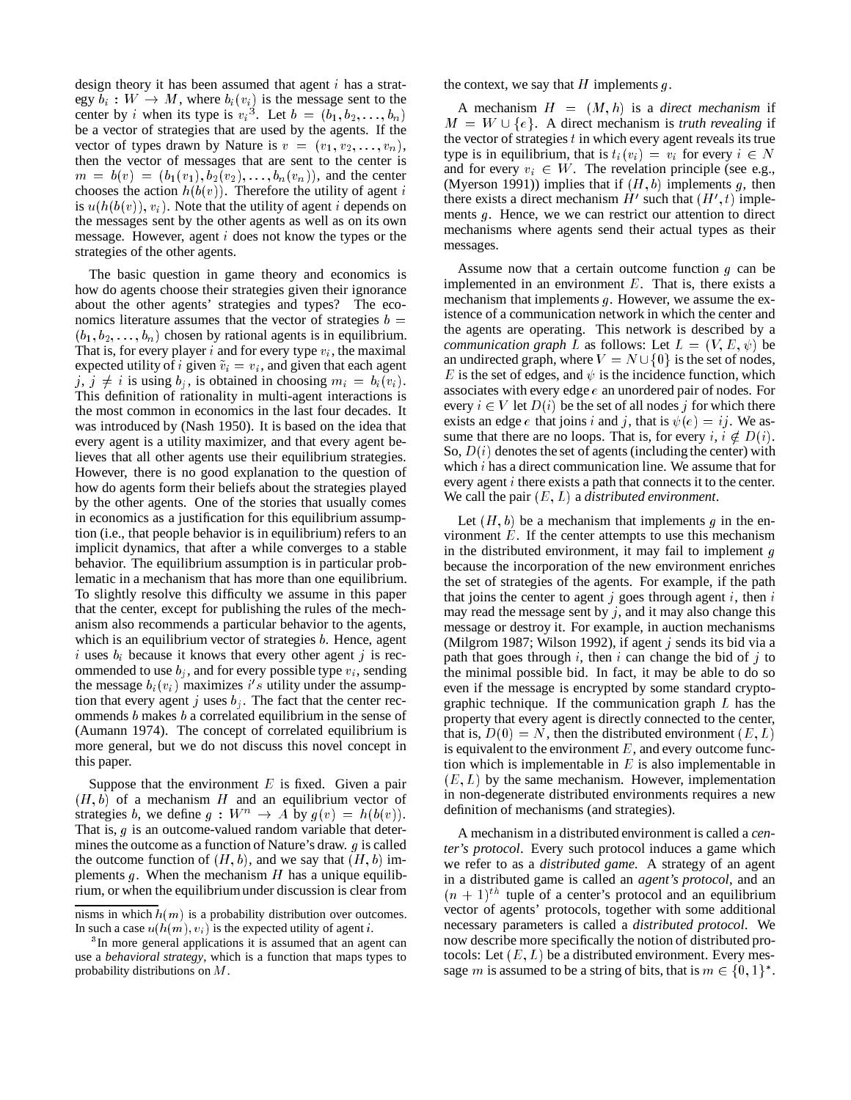design theory it has been assumed that agent  $i$  has a strategy  $b_i : W \to M$ , where  $b_i(v_i)$  is the message sent to the center by *i* when its type is  $v_i^3$ . Let  $b = (b_1, b_2, \ldots, b_n)$ be a vector of strategies that are used by the agents. If the vector of types drawn by Nature is  $v = (v_1, v_2, \ldots, v_n)$ , then the vector of messages that are sent to the center is  $m = b(v) = (b_1(v_1), b_2(v_2), \ldots, b_n(v_n))$ , and the center chooses the action  $h(b(v))$ . Therefore the utility of agent i is  $u(h(b(v)), v_i)$ . Note that the utility of agent *i* depends on the messages sent by the other agents as well as on its own message. However, agent <sup>i</sup> does not know the types or the strategies of the other agents.

The basic question in game theory and economics is how do agents choose their strategies given their ignorance about the other agents' strategies and types? The economics literature assumes that the vector of strategies  $b =$  $(b_1, b_2, \ldots, b_n)$  chosen by rational agents is in equilibrium. That is, for every player i and for every type  $v_i$ , the maximal expected utility of i given  $\tilde{v}_i = v_i$ , and given that each agent j,  $j \neq i$  is using  $b_j$ , is obtained in choosing  $m_i = b_i(v_i)$ . This definition of rationality in multi-agent interactions is the most common in economics in the last four decades. It was introduced by (Nash 1950). It is based on the idea that every agent is a utility maximizer, and that every agent believes that all other agents use their equilibrium strategies. However, there is no good explanation to the question of how do agents form their beliefs about the strategies played by the other agents. One of the stories that usually comes in economics as a justification for this equilibrium assumption (i.e., that people behavior is in equilibrium) refers to an implicit dynamics, that after a while converges to a stable behavior. The equilibrium assumption is in particular problematic in a mechanism that has more than one equilibrium. To slightly resolve this difficulty we assume in this paper that the center, except for publishing the rules of the mechanism also recommends a particular behavior to the agents, which is an equilibrium vector of strategies  $b$ . Hence, agent i uses  $b_i$  because it knows that every other agent j is recommended to use  $b_i$ , and for every possible type  $v_i$ , sending the message  $b_i(v_i)$  maximizes i's utility under the assumption that every agent j uses  $b_j$ . The fact that the center recommends  $b$  makes  $b$  a correlated equilibrium in the sense of (Aumann 1974). The concept of correlated equilibrium is more general, but we do not discuss this novel concept in this paper.

Suppose that the environment  $E$  is fixed. Given a pair  $(H, b)$  of a mechanism H and an equilibrium vector of strategies b, we define  $g: W^n \to A$  by  $g(v) = h(b(v))$ . That is,  $g$  is an outcome-valued random variable that determines the outcome as a function of Nature's draw.  $q$  is called the outcome function of  $(H, b)$ , and we say that  $(H, b)$  implements g. When the mechanism  $H$  has a unique equilibrium, or when the equilibrium under discussion is clear from

the context, we say that  $H$  implements  $g$ .

A mechanism  $H = (M, h)$  is a *direct mechanism* if  $M = W \cup \{e\}$ . A direct mechanism is *truth revealing* if the vector of strategies  $t$  in which every agent reveals its true type is in equilibrium, that is  $t_i(v_i) = v_i$  for every  $i \in N$ and for every  $v_i \in W$ . The revelation principle (see e.g., (Myerson 1991)) implies that if  $(H, b)$  implements g, then there exists a direct mechanism  $H'$  such that  $(H', t)$  implements g. Hence, we we can restrict our attention to direct mechanisms where agents send their actual types as their messages.

Assume now that a certain outcome function  $g$  can be implemented in an environment  $E$ . That is, there exists a mechanism that implements  $q$ . However, we assume the existence of a communication network in which the center and the agents are operating. This network is described by a *communication graph* L as follows: Let  $L = (V, E, \psi)$  be an undirected graph, where  $V = N \cup \{0\}$  is the set of nodes, E is the set of edges, and  $\psi$  is the incidence function, which associates with every edge e an unordered pair of nodes. For every  $i \in V$  let  $D(i)$  be the set of all nodes j for which there exists an edge e that joins i and j, that is  $\psi(e) = ij$ . We assume that there are no loops. That is, for every  $i, i \notin D(i)$ . So,  $D(i)$  denotes the set of agents (including the center) with which i has a direct communication line. We assume that for every agent <sup>i</sup> there exists a path that connects it to the center. We call the pair (E; L) a *distributed environment*.

Let  $(H, b)$  be a mechanism that implements q in the environment  $E$ . If the center attempts to use this mechanism in the distributed environment, it may fail to implement  $g$ because the incorporation of the new environment enriches the set of strategies of the agents. For example, if the path that joins the center to agent j goes through agent i, then  $i$ may read the message sent by  $j$ , and it may also change this message or destroy it. For example, in auction mechanisms (Milgrom 1987; Wilson 1992), if agent  $j$  sends its bid via a path that goes through i, then i can change the bid of j to the minimal possible bid. In fact, it may be able to do so even if the message is encrypted by some standard cryptographic technique. If the communication graph  $L$  has the property that every agent is directly connected to the center, that is,  $D(0) = N$ , then the distributed environment  $(E, L)$ is equivalent to the environment  $E$ , and every outcome function which is implementable in  $E$  is also implementable in  $(E, L)$  by the same mechanism. However, implementation in non-degenerate distributed environments requires a new definition of mechanisms (and strategies).

A mechanism in a distributed environment is called a *center's protocol*. Every such protocol induces a game which we refer to as a *distributed game*. A strategy of an agent in a distributed game is called an *agent's protocol*, and an  $(n + 1)^{th}$  tuple of a center's protocol and an equilibrium vector of agents' protocols, together with some additional necessary parameters is called a *distributed protocol*. We now describe more specifically the notion of distributed protocols: Let  $(E, L)$  be a distributed environment. Every message *m* is assumed to be a string of bits, that is  $m \in \{0, 1\}^*$ .

nisms in which  $h(m)$  is a probability distribution over outcomes. In such a case  $u(h(m), v_i)$  is the expected utility of agent *i*.

<sup>&</sup>lt;sup>3</sup>In more general applications it is assumed that an agent can use a *behavioral strategy*, which is a function that maps types to probability distributions on <sup>M</sup>.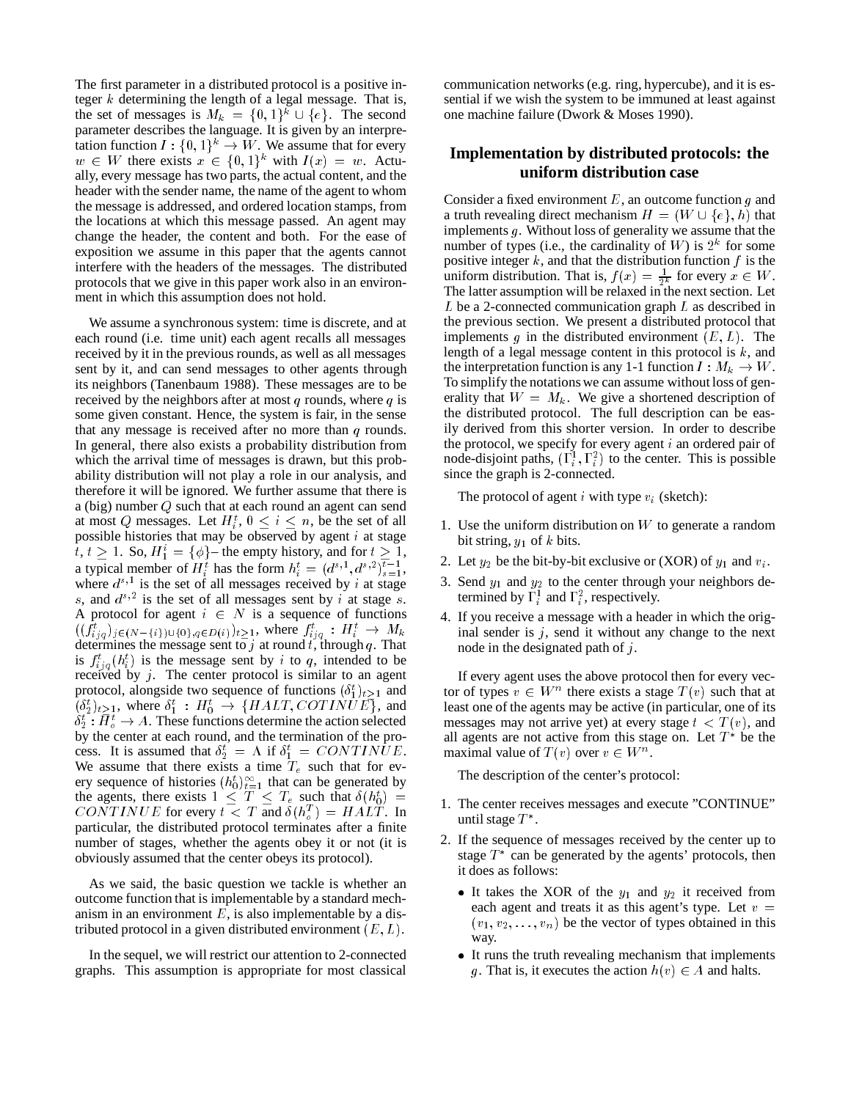The first parameter in a distributed protocol is a positive integer  $k$  determining the length of a legal message. That is, the set of messages is  $M_k = \{0,1\}^k \cup \{e\}$ . The second parameter describes the language. It is given by an interpretation function  $I: \{0,1\}^k \to W$ . We assume that for every  $w \in W$  there exists  $x \in \{0,1\}^k$  with  $I(x) = w$ . Actually, every message has two parts, the actual content, and the header with the sender name, the name of the agent to whom the message is addressed, and ordered location stamps, from the locations at which this message passed. An agent may change the header, the content and both. For the ease of exposition we assume in this paper that the agents cannot interfere with the headers of the messages. The distributed protocols that we give in this paper work also in an environment in which this assumption does not hold.

We assume a synchronous system: time is discrete, and at each round (i.e. time unit) each agent recalls all messages received by it in the previous rounds, as well as all messages sent by it, and can send messages to other agents through its neighbors (Tanenbaum 1988). These messages are to be received by the neighbors after at most  $q$  rounds, where  $q$  is some given constant. Hence, the system is fair, in the sense that any message is received after no more than  $q$  rounds. In general, there also exists a probability distribution from which the arrival time of messages is drawn, but this probability distribution will not play a role in our analysis, and therefore it will be ignored. We further assume that there is a (big) number Q such that at each round an agent can send at most Q messages. Let  $H_i^t$ ,  $0 \le i \le n$ , be the set of all possible histories that may be observed by agent  $i$  at stage  $t, t \geq 1$ . So,  $H_1^i = {\phi}$  – the empty history, and for  $t \geq 1$ , a typical member of  $H_i^t$  has the form  $h_i^t = (d^{s,1}, d^{s,2})_{s=1}^{t-1}$ , where  $d^{s,1}$  is the set of all messages received by i at stage s, and  $d^{s,2}$  is the set of all messages sent by i at stage s. A protocol for agent  $i \in N$  is a sequence of functions  $((f_{ijq}^t)_{j\in(N-\{i\})\cup\{0\},q\in D(i)})_{t\geq1}$ , where  $f_{ijq}^t : H_i^t \to M_k$ determines the message sent to j at round t, through q. That is  $f_{iiq}^t(h_i^t)$  is the message sent by i to q, intended to be received by  $j$ . The center protocol is similar to an agent protocol, alongside two sequence of functions  $(\delta_1^t)_{t\geq 1}$  and  $(\delta_2^t)_{t\geq 1}$ , where  $\delta_1^t$ :  $H_0^t \rightarrow \{HALT, COTINUE\}$ , and  $\delta_2^t : H_o^t \to A$ . These functions determine the action selected by the center at each round, and the termination of the process. It is assumed that  $\delta_2^t = \Lambda$  if  $\delta_1^t = \text{CONTINUE}$ . We assume that there exists a time  $T_e$  such that for every sequence of histories  $(h_0^t)_{t=1}^\infty$  that can be generated by the agents, there exists  $1 \leq T \leq T_e$  such that  $\delta(h_0^t)$  = CONTINUE for every  $t < T$  and  $\delta(h_q^T) = HALT$ . In particular, the distributed protocol terminates after a finite number of stages, whether the agents obey it or not (it is obviously assumed that the center obeys its protocol).

As we said, the basic question we tackle is whether an outcome function that is implementable by a standard mechanism in an environment  $E$ , is also implementable by a distributed protocol in a given distributed environment  $(E, L)$ .

In the sequel, we will restrict our attention to 2-connected graphs. This assumption is appropriate for most classical

communication networks (e.g. ring, hypercube), and it is essential if we wish the system to be immuned at least against one machine failure (Dwork & Moses 1990).

## **Implementation by distributed protocols: the uniform distribution case**

Consider a fixed environment  $E$ , an outcome function  $g$  and a truth revealing direct mechanism  $H = (W \cup \{e\}, h)$  that implements g. Without loss of generality we assume that the number of types (i.e., the cardinality of W) is  $2^k$  for some positive integer  $k$ , and that the distribution function  $f$  is the uniform distribution. That is,  $f(x) = \frac{1}{2^k}$  for every  $x \in W$ . The latter assumption will be relaxed in the next section. Let L be a 2-connected communication graph L as described in the previous section. We present a distributed protocol that implements q in the distributed environment  $(E, L)$ . The length of a legal message content in this protocol is  $k$ , and the interpretation function is any 1-1 function  $I: M_k \to W$ . To simplify the notations we can assume without loss of generality that  $W = M_k$ . We give a shortened description of the distributed protocol. The full description can be easily derived from this shorter version. In order to describe the protocol, we specify for every agent  $i$  an ordered pair of node-disjoint paths,  $(\Gamma_i^1, \Gamma_i^2)$  to the center. This is possible since the graph is 2-connected.

The protocol of agent  $i$  with type  $v_i$  (sketch):

- 1. Use the uniform distribution on  $W$  to generate a random bit string,  $y_1$  of  $k$  bits.
- 2. Let  $y_2$  be the bit-by-bit exclusive or (XOR) of  $y_1$  and  $v_i$ .
- 3. Send  $y_1$  and  $y_2$  to the center through your neighbors determined by  $\Gamma_i^1$  and  $\Gamma_i^2$ , respectively.
- 4. If you receive a message with a header in which the original sender is  $j$ , send it without any change to the next node in the designated path of j.

If every agent uses the above protocol then for every vector of types  $v \in W^n$  there exists a stage  $T(v)$  such that at least one of the agents may be active (in particular, one of its messages may not arrive yet) at every stage  $t < T(v)$ , and all agents are not active from this stage on. Let  $T^*$  be the maximal value of  $T(v)$  over  $v \in W^n$ .

The description of the center's protocol:

- 1. The center receives messages and execute "CONTINUE" until stage  $T^*$ .
- 2. If the sequence of messages received by the center up to stage  $T^*$  can be generated by the agents' protocols, then it does as follows:
	- It takes the XOR of the  $y_1$  and  $y_2$  it received from each agent and treats it as this agent's type. Let  $v =$  $(v_1, v_2, \ldots, v_n)$  be the vector of types obtained in this way.
	- It runs the truth revealing mechanism that implements g. That is, it executes the action  $h(v) \in A$  and halts.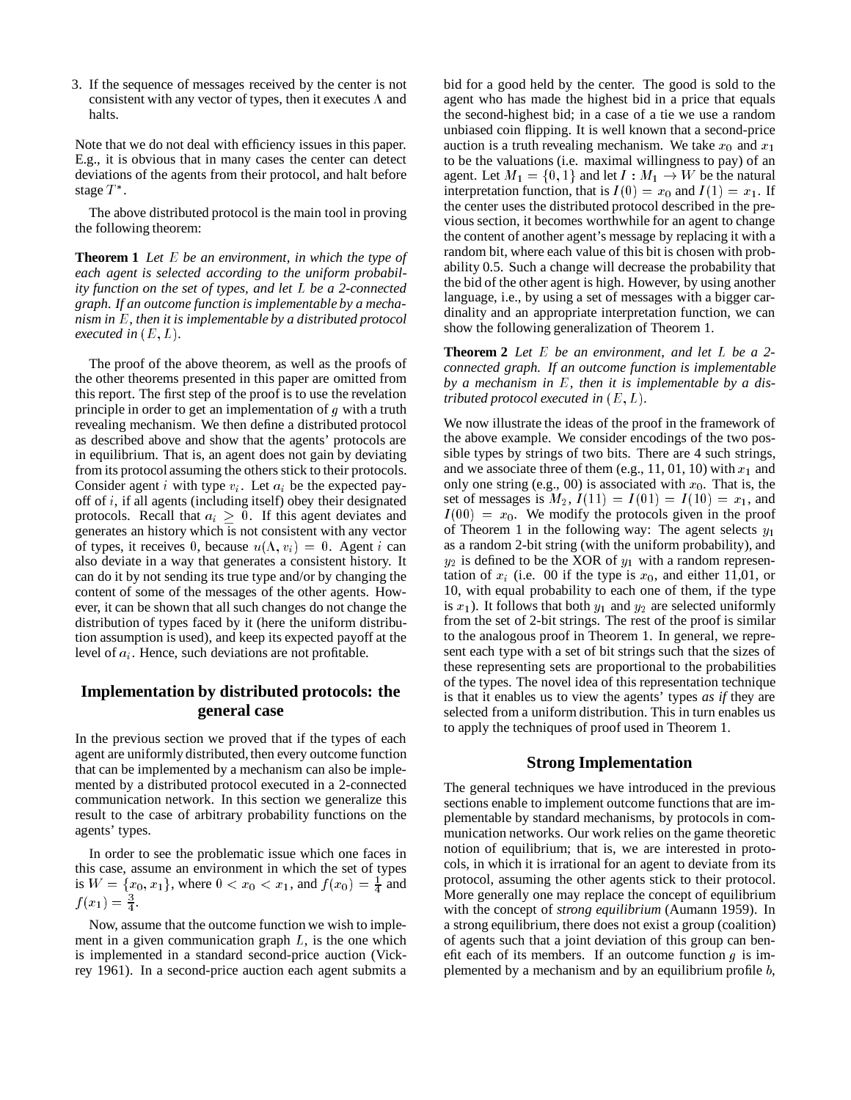3. If the sequence of messages received by the center is not consistent with any vector of types, then it executes  $\Lambda$  and halts.

Note that we do not deal with efficiency issues in this paper. E.g., it is obvious that in many cases the center can detect deviations of the agents from their protocol, and halt before stage  $T^*$ .

The above distributed protocol is the main tool in proving the following theorem:

**Theorem 1** *Let* E *be an environment, in which the type of each agent is selected according to the uniform probability function on the set of types, and let* <sup>L</sup> *be a 2-connected graph. If an outcome function is implementable by a mechanism in* E*, then it is implementable by a distributed protocol executed in*  $(E, L)$ *.* 

The proof of the above theorem, as well as the proofs of the other theorems presented in this paper are omitted from this report. The first step of the proof is to use the revelation principle in order to get an implementation of  $g$  with a truth revealing mechanism. We then define a distributed protocol as described above and show that the agents' protocols are in equilibrium. That is, an agent does not gain by deviating from its protocol assuming the others stick to their protocols. Consider agent *i* with type  $v_i$ . Let  $a_i$  be the expected payoff of i, if all agents (including itself) obey their designated protocols. Recall that  $a_i \geq 0$ . If this agent deviates and generates an history which is not consistent with any vector of types, it receives 0, because  $u(\Lambda, v_i)=0$ . Agent i can also deviate in a way that generates a consistent history. It can do it by not sending its true type and/or by changing the content of some of the messages of the other agents. However, it can be shown that all such changes do not change the distribution of types faced by it (here the uniform distribution assumption is used), and keep its expected payoff at the level of  $a_i$ . Hence, such deviations are not profitable.

## **Implementation by distributed protocols: the general case**

In the previous section we proved that if the types of each agent are uniformly distributed, then every outcome function that can be implemented by a mechanism can also be implemented by a distributed protocol executed in a 2-connected communication network. In this section we generalize this result to the case of arbitrary probability functions on the agents' types.

In order to see the problematic issue which one faces in this case, assume an environment in which the set of types is  $W = \{x_0, x_1\}$ , where  $0 < x_0 < x_1$ , and  $f(x_0) = \frac{1}{4}$  and  $f(x_1) = \frac{3}{4}.$ 

<sup>4</sup>

Now, assume that the outcome function we wish to implement in a given communication graph  $L$ , is the one which is implemented in a standard second-price auction (Vickrey 1961). In a second-price auction each agent submits a

bid for a good held by the center. The good is sold to the agent who has made the highest bid in a price that equals the second-highest bid; in a case of a tie we use a random unbiased coin flipping. It is well known that a second-price auction is a truth revealing mechanism. We take  $x_0$  and  $x_1$ to be the valuations (i.e. maximal willingness to pay) of an agent. Let  $M_1 = \{0, 1\}$  and let  $I : M_1 \to W$  be the natural interpretation function, that is  $I(0) = x_0$  and  $I(1) = x_1$ . If the center uses the distributed protocol described in the previous section, it becomes worthwhile for an agent to change the content of another agent's message by replacing it with a random bit, where each value of this bit is chosen with probability 0.5. Such a change will decrease the probability that the bid of the other agent is high. However, by using another language, i.e., by using a set of messages with a bigger cardinality and an appropriate interpretation function, we can show the following generalization of Theorem 1.

**Theorem 2** *Let* <sup>E</sup> *be an environment, and let* <sup>L</sup> *be a 2 connected graph. If an outcome function is implementable by a mechanism in* E*, then it is implementable by a distributed protocol executed in*  $(E, L)$ *.* 

We now illustrate the ideas of the proof in the framework of the above example. We consider encodings of the two possible types by strings of two bits. There are 4 such strings, and we associate three of them (e.g., 11, 01, 10) with  $x_1$  and only one string (e.g., 00) is associated with  $x_0$ . That is, the set of messages is  $M_2$ ,  $I(11) = I(01) = I(10) = x_1$ , and  $I(00) = x_0$ . We modify the protocols given in the proof of Theorem 1 in the following way: The agent selects  $y_1$ as a random 2-bit string (with the uniform probability), and  $y_2$  is defined to be the XOR of  $y_1$  with a random representation of  $x_i$  (i.e. 00 if the type is  $x_0$ , and either 11,01, or 10, with equal probability to each one of them, if the type is  $x_1$ ). It follows that both  $y_1$  and  $y_2$  are selected uniformly from the set of 2-bit strings. The rest of the proof is similar to the analogous proof in Theorem 1. In general, we represent each type with a set of bit strings such that the sizes of these representing sets are proportional to the probabilities of the types. The novel idea of this representation technique is that it enables us to view the agents' types *as if* they are selected from a uniform distribution. This in turn enables us to apply the techniques of proof used in Theorem 1.

### **Strong Implementation**

The general techniques we have introduced in the previous sections enable to implement outcome functions that are implementable by standard mechanisms, by protocols in communication networks. Our work relies on the game theoretic notion of equilibrium; that is, we are interested in protocols, in which it is irrational for an agent to deviate from its protocol, assuming the other agents stick to their protocol. More generally one may replace the concept of equilibrium with the concept of *strong equilibrium* (Aumann 1959). In a strong equilibrium, there does not exist a group (coalition) of agents such that a joint deviation of this group can benefit each of its members. If an outcome function  $q$  is implemented by a mechanism and by an equilibrium profile  $b$ ,